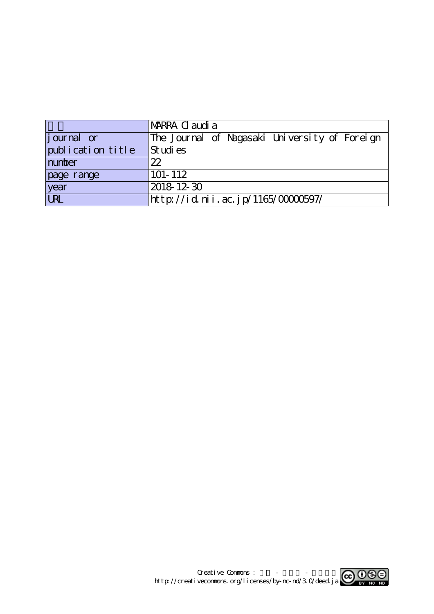|                   | <b>IMARRA Cl audi a</b>                       |
|-------------------|-----------------------------------------------|
| journal or        | The Journal of Nagasaki University of Foreign |
| publication title | Studies                                       |
| number            | 22                                            |
| page range        | $101 - 112$                                   |
| year<br>URL       | 2018 12 30                                    |
|                   | http://id.nii.ac.jp/1165/00000597/            |

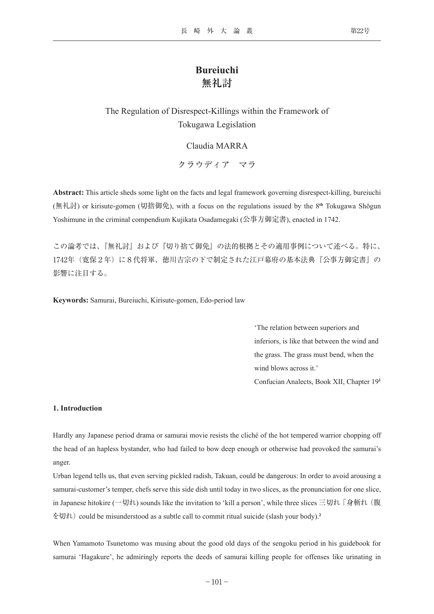# **Bureiuchi 無礼討**

## The Regulation of Disrespect-Killings within the Framework of Tokugawa Legislation

## Claudia MARRA

クラウディア マラ

**Abstract:** This article sheds some light on the facts and legal framework governing disrespect-killing, bureiuchi (無礼討) or kirisute-gomen (切捨御免), with a focus on the regulations issued by the 8**th** Tokugawa Shōgun Yoshimune in the criminal compendium Kujikata Osadamegaki (公事方御定書), enacted in 1742.

この論考では、『無礼討』および『切り捨て御免』の法的根拠とその適用事例について述べる。特に、 1742年(寛保2年)に8代将軍、徳川吉宗の下で制定された江戸幕府の基本法典『公事方御定書』の 影響に注目する。

**Keywords:** Samurai, Bureiuchi, Kirisute-gomen, Edo-period law

'The relation between superiors and inferiors, is like that between the wind and the grass. The grass must bend, when the wind blows across it.' Confucian Analects, Book XII, Chapter 19**<sup>1</sup>**

#### **1. Introduction**

Hardly any Japanese period drama or samurai movie resists the cliché of the hot tempered warrior chopping off the head of an hapless bystander, who had failed to bow deep enough or otherwise had provoked the samurai's anger.

Urban legend tells us, that even serving pickled radish, Takuan, could be dangerous: In order to avoid arousing a samurai-customer's temper, chefs serve this side dish until today in two slices, as the pronunciation for one slice, in Japanese hitokire (一切れ) sounds like the invitation to 'kill a person', while three slices 三切れ 「身斬れ (腹 を切れ) could be misunderstood as a subtle call to commit ritual suicide (slash your body).**<sup>2</sup>**

When Yamamoto Tsunetomo was musing about the good old days of the sengoku period in his guidebook for samurai 'Hagakure', he admiringly reports the deeds of samurai killing people for offenses like urinating in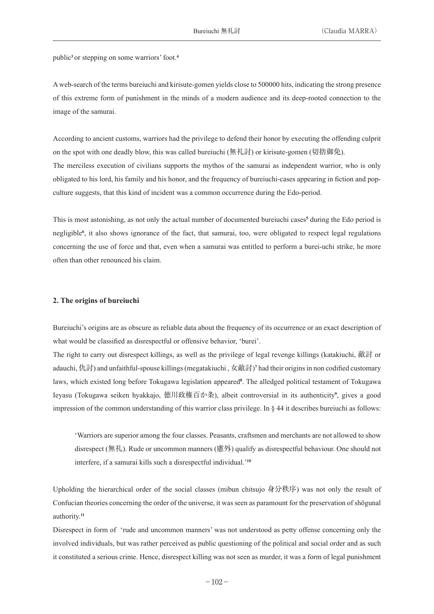public**<sup>3</sup>**or stepping on some warriors' foot.**<sup>4</sup>**

A web-search of the terms bureiuchi and kirisute-gomen yields close to 500000 hits, indicating the strong presence of this extreme form of punishment in the minds of a modern audience and its deep-rooted connection to the image of the samurai.

According to ancient customs, warriors had the privilege to defend their honor by executing the offending culprit on the spot with one deadly blow, this was called bureiuchi (無礼討) or kirisute-gomen (切捨御免). The merciless execution of civilians supports the mythos of the samurai as independent warrior, who is only obligated to his lord, his family and his honor, and the frequency of bureiuchi-cases appearing in fiction and popculture suggests, that this kind of incident was a common occurrence during the Edo-period.

This is most astonishing, as not only the actual number of documented bureiuchi cases**<sup>5</sup>** during the Edo period is negligible**<sup>6</sup>** , it also shows ignorance of the fact, that samurai, too, were obligated to respect legal regulations concerning the use of force and that, even when a samurai was entitled to perform a burei-uchi strike, he more often than other renounced his claim.

## **2. The origins of bureiuchi**

Bureiuchi's origins are as obscure as reliable data about the frequency of its occurrence or an exact description of what would be classified as disrespectful or offensive behavior, 'burei'.

The right to carry out disrespect killings, as well as the privilege of legal revenge killings (katakiuchi, 敵討 or adauchi, 仇討) and unfaithful-spouse killings (megatakiuchi , 女敵討)**<sup>7</sup>** had their origins in non codified customary laws, which existed long before Tokugawa legislation appeared**<sup>8</sup>** . The alledged political testament of Tokugawa Ieyasu (Tokugawa seiken hyakkajo, 徳川政権百か条), albeit controversial in its authenticity**<sup>9</sup>** , gives a good impression of the common understanding of this warrior class privilege. In § 44 it describes bureiuchi as follows:

'Warriors are superior among the four classes. Peasants, craftsmen and merchants are not allowed to show disrespect (無礼). Rude or uncommon manners (慮外) qualify as disrespectful behaviour. One should not interfere, if a samurai kills such a disrespectful individual.'**<sup>10</sup>**

Upholding the hierarchical order of the social classes (mibun chitsujo 身分秩序) was not only the result of Confucian theories concerning the order of the universe, it was seen as paramount for the preservation of shōgunal authority.**<sup>11</sup>**

Disrespect in form of 'rude and uncommon manners' was not understood as petty offense concerning only the involved individuals, but was rather perceived as public questioning of the political and social order and as such it constituted a serious crime. Hence, disrespect killing was not seen as murder, it was a form of legal punishment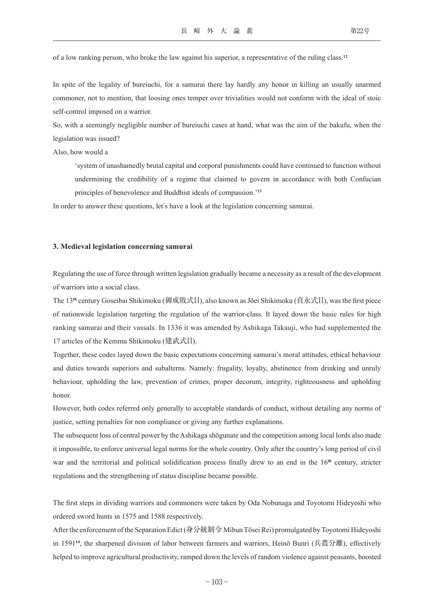of a low ranking person, who broke the law against his superior, a representative of the ruling class.**<sup>12</sup>**

In spite of the legality of bureiuchi, for a samurai there lay hardly any honor in killing an usually unarmed commoner, not to mention, that loosing ones temper over trivialities would not conform with the ideal of stoic self-control imposed on a warrior.

So, with a seemingly negligible number of bureiuchi cases at hand, what was the aim of the bakufu, when the legislation was issued?

Also, how would a

'system of unashamedly brutal capital and corporal punishments could have continued to function without undermining the credibility of a regime that claimed to govern in accordance with both Confucian principles of benevolence and Buddhist ideals of compassion.'**<sup>13</sup>**

In order to answer these questions, let's have a look at the legislation concerning samurai.

## **3. Medieval legislation concerning samurai**

Regulating the use of force through written legislation gradually became a necessity as a result of the development of warriors into a social class.

The 13**th** century Goseibai Shikimoku (御成敗式目), also known as Jōei Shikimoku (貞永式目), was the first piece of nationwide legislation targeting the regulation of the warrior-class. It layed down the basic rules for high ranking samurai and their vassals. In 1336 it was amended by Ashikaga Takauji, who had supplemented the 17 articles of the Kemmu Shikimoku (建武式目).

Together, these codes layed down the basic expectations concerning samurai's moral attitudes, ethical behaviour and duties towards superiors and subalterns. Namely: frugality, loyalty, abstinence from drinking and unruly behaviour, upholding the law, prevention of crimes, proper decorum, integrity, righteousness and upholding honor.

However, both codes referred only generally to acceptable standards of conduct, without detailing any norms of justice, setting penalties for non compliance or giving any further explanations.

The subsequent loss of central power by the Ashikaga shōgunate and the competition among local lords also made it impossible, to enforce universal legal norms for the whole country. Only after the country's long period of civil war and the territorial and political solidification process finally drew to an end in the 16**th** century, stricter regulations and the strengthening of status discipline became possible.

The first steps in dividing warriors and commoners were taken by Oda Nobunaga and Toyotomi Hideyoshi who ordered sword hunts in 1575 and 1588 respectively.

After the enforcement of the Separation Edict (身分統制令 Mibun Tōsei Rei) promulgated by Toyotomi Hideyoshi in 1591**<sup>14</sup>**, the sharpened division of labor between farmers and warriors, Heinō Bunri (兵農分離), effectively helped to improve agricultural productivity, ramped down the levels of random violence against peasants, boosted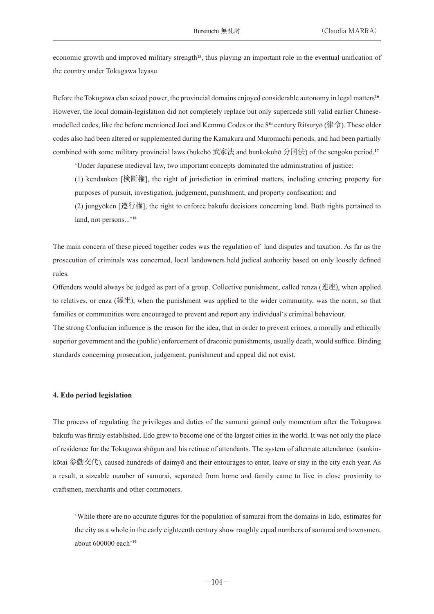economic growth and improved military strength**<sup>15</sup>**, thus playing an important role in the eventual unification of the country under Tokugawa Ieyasu.

Before the Tokugawa clan seized power, the provincial domains enjoyed considerable autonomy in legal matters**<sup>16</sup>**. However, the local domain-legislation did not completely replace but only supercede still valid earlier Chinesemodelled codes, like the before mentioned Joei and Kemmu Codes or the 8**th** century Ritsuryō (律令). These older codes also had been altered or supplemented during the Kamakura and Muromachi periods, and had been partially combined with some military provincial laws (bukehō 武家法 and bunkokuhō 分国法) of the sengoku period.**<sup>17</sup>**

'Under Japanese medieval law, two important concepts dominated the administration of justice:

(1) kendanken [検断権], the right of jurisdiction in criminal matters, including entering property for purposes of pursuit, investigation, judgement, punishment, and property confiscation; and

(2) jungyōken [遵行権], the right to enforce bakufu decisions concerning land. Both rights pertained to land, not persons...'**<sup>18</sup>**

The main concern of these pieced together codes was the regulation of land disputes and taxation. As far as the prosecution of criminals was concerned, local landowners held judical authority based on only loosely defined rules.

Offenders would always be judged as part of a group. Collective punishment, called renza (連座), when applied to relatives, or enza (縁坐), when the punishment was applied to the wider community, was the norm, so that families or communities were encouraged to prevent and report any individual's criminal behaviour.

The strong Confucian influence is the reason for the idea, that in order to prevent crimes, a morally and ethically superior government and the (public) enforcement of draconic punishments, usually death, would suffice. Binding standards concerning prosecution, judgement, punishment and appeal did not exist.

## **4. Edo period legislation**

The process of regulating the privileges and duties of the samurai gained only momentum after the Tokugawa bakufu was firmly established. Edo grew to become one of the largest cities in the world. It was not only the place of residence for the Tokugawa shōgun and his retinue of attendants. The system of alternate attendance (sankinkōtai 参勤交代), caused hundreds of daimyō and their entourages to enter, leave or stay in the city each year. As a result, a sizeable number of samurai, separated from home and family came to live in close proximity to craftsmen, merchants and other commoners.

'While there are no accurate figures for the population of samurai from the domains in Edo, estimates for the city as a whole in the early eighteenth century show roughly equal numbers of samurai and townsmen, about 600000 each'**<sup>19</sup>**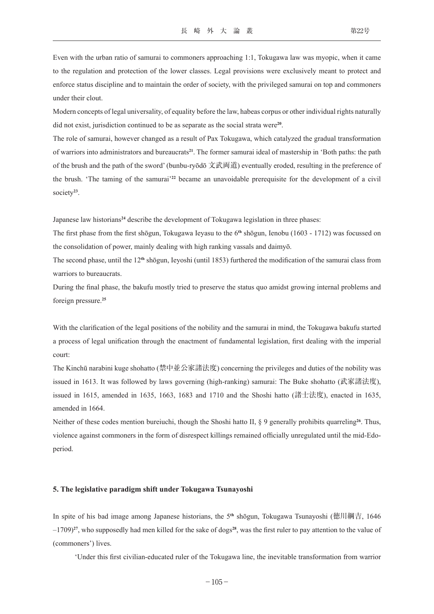Even with the urban ratio of samurai to commoners approaching 1:1, Tokugawa law was myopic, when it came to the regulation and protection of the lower classes. Legal provisions were exclusively meant to protect and enforce status discipline and to maintain the order of society, with the privileged samurai on top and commoners under their clout.

Modern concepts of legal universality, of equality before the law, habeas corpus or other individual rights naturally did not exist, jurisdiction continued to be as separate as the social strata were**<sup>20</sup>**.

The role of samurai, however changed as a result of Pax Tokugawa, which catalyzed the gradual transformation of warriors into administrators and bureaucrats**<sup>21</sup>**. The former samurai ideal of mastership in 'Both paths: the path of the brush and the path of the sword' (bunbu-ryōdō 文武両道) eventually eroded, resulting in the preference of the brush. 'The taming of the samurai'**<sup>22</sup>** became an unavoidable prerequisite for the development of a civil society**<sup>23</sup>**.

Japanese law historians**<sup>24</sup>** describe the development of Tokugawa legislation in three phases:

The first phase from the first shōgun, Tokugawa Ieyasu to the 6**th** shōgun, Ienobu (1603 - 1712) was focussed on the consolidation of power, mainly dealing with high ranking vassals and daimyō.

The second phase, until the 12**th** shōgun, Ieyoshi (until 1853) furthered the modification of the samurai class from warriors to bureaucrats.

During the final phase, the bakufu mostly tried to preserve the status quo amidst growing internal problems and foreign pressure.**<sup>25</sup>**

With the clarification of the legal positions of the nobility and the samurai in mind, the Tokugawa bakufu started a process of legal unification through the enactment of fundamental legislation, first dealing with the imperial court:

The Kinchū narabini kuge shohatto (禁中並公家諸法度) concerning the privileges and duties of the nobility was issued in 1613. It was followed by laws governing (high-ranking) samurai: The Buke shohatto (武家諸法度), issued in 1615, amended in 1635, 1663, 1683 and 1710 and the Shoshi hatto (諸士法度), enacted in 1635, amended in 1664.

Neither of these codes mention bureiuchi, though the Shoshi hatto II, § 9 generally prohibits quarreling**<sup>26</sup>**. Thus, violence against commoners in the form of disrespect killings remained officially unregulated until the mid-Edoperiod.

## **5. The legislative paradigm shift under Tokugawa Tsunayoshi**

In spite of his bad image among Japanese historians, the 5**th** shōgun, Tokugawa Tsunayoshi (徳川綱吉, 1646 –1709)**<sup>27</sup>**, who supposedly had men killed for the sake of dogs**<sup>28</sup>**, was the first ruler to pay attention to the value of (commoners') lives.

'Under this first civilian-educated ruler of the Tokugawa line, the inevitable transformation from warrior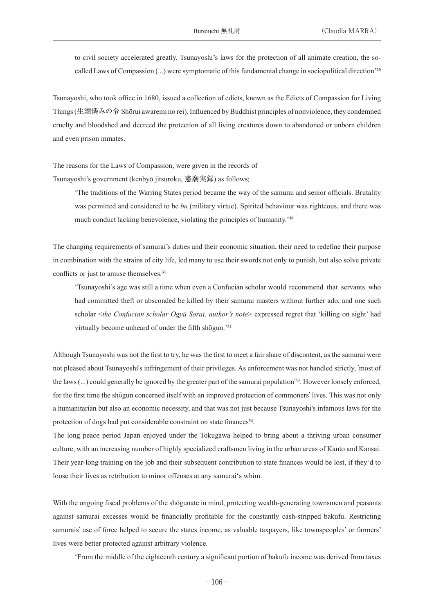to civil society accelerated greatly. Tsunayoshi's laws for the protection of all animate creation, the socalled Laws of Compassion (...) were symptomatic of this fundamental change in sociopolitical direction'**<sup>29</sup>**

Tsunayoshi, who took office in 1680, issued a collection of edicts, known as the Edicts of Compassion for Living Things (生類憐みの令 Shōrui awaremi no rei). Influenced by Buddhist principles of nonviolence, they condemned cruelty and bloodshed and decreed the protection of all living creatures down to abandoned or unborn children and even prison inmates.

The reasons for the Laws of Compassion, were given in the records of Tsunayoshi's government (kenbyō jitsuroku, 憲廟実録) as follows;

> 'The traditions of the Warring States period became the way of the samurai and senior officials. Brutality was permitted and considered to be *bu* (military virtue). Spirited behaviour was righteous, and there was much conduct lacking benevolence, violating the principles of humanity.'**<sup>30</sup>**

The changing requirements of samurai's duties and their economic situation, their need to redefine their purpose in combination with the strains of city life, led many to use their swords not only to punish, but also solve private conflicts or just to amuse themselves.**<sup>31</sup>**

'Tsunayoshi's age was still a time when even a Confucian scholar would recommend that servants who had committed theft or absconded be killed by their samurai masters without further ado, and one such scholar <*the Confucian scholar Ogyū Sorai, author's note*> expressed regret that 'killing on sight' had virtually become unheard of under the fifth shōgun.'**<sup>32</sup>**

Although Tsunayoshi was not the first to try, he was the first to meet a fair share of discontent, as the samurai were not pleased about Tsunayoshi's infringement of their privileges. As enforcement was not handled strictly, 'most of the laws (...) could generally be ignored by the greater part of the samurai population' **<sup>33</sup>**. However loosely enforced, for the first time the shōgun concerned itself with an improved protection of commoners' lives. This was not only a humanitarian but also an economic necessity, and that was not just because Tsunayoshi's infamous laws for the protection of dogs had put considerable constraint on state finances**<sup>34</sup>**.

The long peace period Japan enjoyed under the Tokugawa helped to bring about a thriving urban consumer culture, with an increasing number of highly specialized craftsmen living in the urban areas of Kanto and Kansai. Their year-long training on the job and their subsequent contribution to state finances would be lost, if they'd to loose their lives as retribution to minor offenses at any samurai's whim.

With the ongoing fiscal problems of the shōgunate in mind, protecting wealth-generating townsmen and peasants against samurai excesses would be financially profitable for the constantly cash-stripped bakufu. Restricting samurais' use of force helped to secure the states income, as valuable taxpayers, like townspeoples' or farmers' lives were better protected against arbitrary violence.

'From the middle of the eighteenth century a significant portion of bakufu income was derived from taxes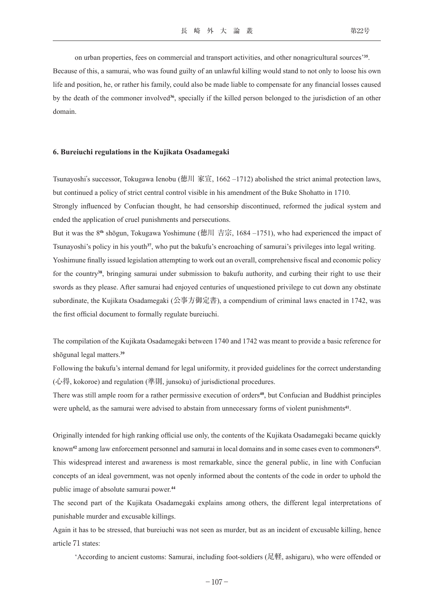on urban properties, fees on commercial and transport activities, and other nonagricultural sources'**<sup>35</sup>**.

Because of this, a samurai, who was found guilty of an unlawful killing would stand to not only to loose his own life and position, he, or rather his family, could also be made liable to compensate for any financial losses caused by the death of the commoner involved**<sup>36</sup>**, specially if the killed person belonged to the jurisdiction of an other domain.

### **6. Bureiuchi regulations in the Kujikata Osadamegaki**

Tsunayoshi's successor, Tokugawa Ienobu (徳川 家宣, 1662 –1712) abolished the strict animal protection laws, but continued a policy of strict central control visible in his amendment of the Buke Shohatto in 1710.

Strongly influenced by Confucian thought, he had censorship discontinued, reformed the judical system and ended the application of cruel punishments and persecutions.

But it was the 8**th** shōgun, Tokugawa Yoshimune (徳川 吉宗, 1684 –1751), who had experienced the impact of Tsunayoshi's policy in his youth**<sup>37</sup>**, who put the bakufu's encroaching of samurai's privileges into legal writing. Yoshimune finally issued legislation attempting to work out an overall, comprehensive fiscal and economic policy for the country**<sup>38</sup>**, bringing samurai under submission to bakufu authority, and curbing their right to use their swords as they please. After samurai had enjoyed centuries of unquestioned privilege to cut down any obstinate subordinate, the Kujikata Osadamegaki (公事方御定書), a compendium of criminal laws enacted in 1742, was the first official document to formally regulate bureiuchi.

The compilation of the Kujikata Osadamegaki between 1740 and 1742 was meant to provide a basic reference for shōgunal legal matters.**<sup>39</sup>**

Following the bakufu's internal demand for legal uniformity, it provided guidelines for the correct understanding (心得, kokoroe) and regulation (準則, junsoku) of jurisdictional procedures.

There was still ample room for a rather permissive execution of orders**<sup>40</sup>**, but Confucian and Buddhist principles were upheld, as the samurai were advised to abstain from unnecessary forms of violent punishments**<sup>41</sup>**.

Originally intended for high ranking official use only, the contents of the Kujikata Osadamegaki became quickly known**<sup>42</sup>** among law enforcement personnel and samurai in local domains and in some cases even to commoners**<sup>43</sup>**. This widespread interest and awareness is most remarkable, since the general public, in line with Confucian concepts of an ideal government, was not openly informed about the contents of the code in order to uphold the public image of absolute samurai power.**<sup>44</sup>**

The second part of the Kujikata Osadamegaki explains among others, the different legal interpretations of punishable murder and excusable killings.

Again it has to be stressed, that bureiuchi was not seen as murder, but as an incident of excusable killing, hence article 71 states:

'According to ancient customs: Samurai, including foot-soldiers (足軽, ashigaru), who were offended or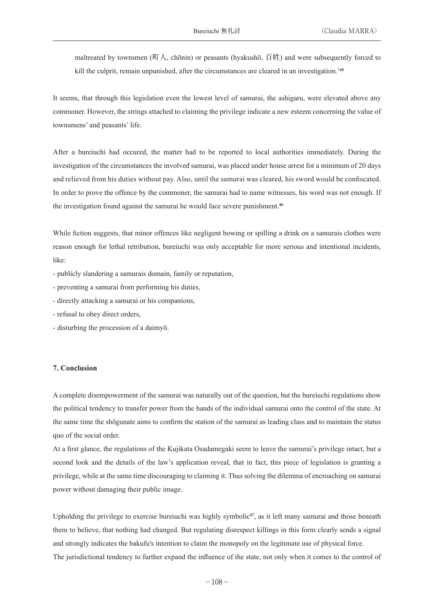maltreated by townsmen (町人, chōnin) or peasants (hyakushō, 百姓) and were subsequently forced to kill the culprit, remain unpunished, after the circumstances are cleared in an investigation.'**<sup>45</sup>**

It seems, that through this legislation even the lowest level of samurai, the ashigaru, were elevated above any commoner. However, the strings attached to claiming the privilege indicate a new esteem concerning the value of townsmens' and peasants' life.

After a bureiuchi had occured, the matter had to be reported to local authorities immediately. During the investigation of the circumstances the involved samurai, was placed under house arrest for a minimum of 20 days and relieved from his duties without pay. Also, until the samurai was cleared, his sword would be confiscated. In order to prove the offence by the commoner, the samurai had to name witnesses, his word was not enough. If the investigation found against the samurai he would face severe punishment.**<sup>46</sup>**

While fiction suggests, that minor offences like negligent bowing or spilling a drink on a samurais clothes were reason enough for lethal retribution, bureiuchi was only acceptable for more serious and intentional incidents, like:

- publicly slandering a samurais domain, family or reputation,

- preventing a samurai from performing his duties,
- directly attacking a samurai or his companions,
- refusal to obey direct orders,
- disturbing the procession of a daimyō.

### **7. Conclusion**

A complete disempowerment of the samurai was naturally out of the question, but the bureiuchi regulations show the political tendency to transfer power from the hands of the individual samurai onto the control of the state. At the same time the shōgunate aims to confirm the station of the samurai as leading class and to maintain the status quo of the social order.

At a first glance, the regulations of the Kujikata Osadamegaki seem to leave the samurai's privilege intact, but a second look and the details of the law's application reveal, that in fact, this piece of legislation is granting a privilege, while at the same time discouraging to claiming it. Thus solving the dilemma of encroaching on samurai power without damaging their public image.

Upholding the privilege to exercise bureiuchi was highly symbolic**<sup>47</sup>**, as it left many samurai and those beneath them to believe, that nothing had changed. But regulating disrespect killings in this form clearly sends a signal and strongly indicates the bakufu's intention to claim the monopoly on the legitimate use of physical force. The jurisdictional tendency to further expand the influence of the state, not only when it comes to the control of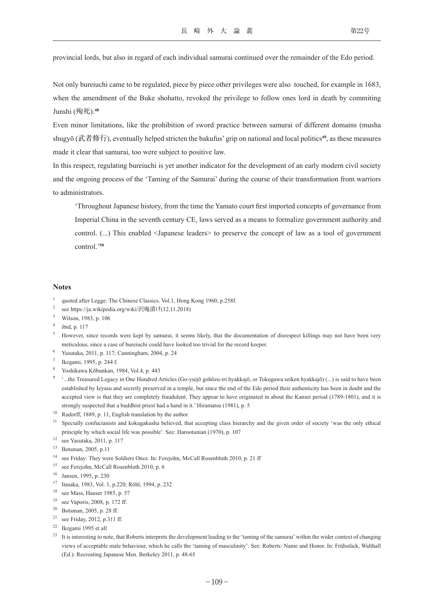provincial lords, but also in regard of each individual samurai continued over the remainder of the Edo period.

Not only bureiuchi came to be regulated, piece by piece other privileges were also touched, for example in 1683, when the amendment of the Buke shohatto, revoked the privilege to follow ones lord in death by commiting Junshi (殉死).**<sup>48</sup>**

Even minor limitations, like the prohibition of sword practice between samurai of different domains (musha shugyō (武者修行), eventually helped stricten the bakufus' grip on national and local politics**<sup>49</sup>**, as these measures made it clear that samurai, too were subject to positive law.

In this respect, regulating bureiuchi is yet another indicator for the development of an early modern civil society and the ongoing process of the 'Taming of the Samurai' during the course of their transformation from warriors to administrators.

'Throughout Japanese history, from the time the Yamato court first imported concepts of governance from Imperial China in the seventh century CE, laws served as a means to formalize government authority and control. (...) This enabled <Japanese leaders> to preserve the concept of law as a tool of government control.'**<sup>50</sup>**

### **Notes**

- see https://ja.wikipedia.org/wiki/沢庵漬け(12.11.2018)
- Wilson, 1983, p. 106
- ibid, p. 117
- <sup>5</sup> However, since records were kept by samurai, it seems likely, that the documentation of disrespect killings may not have been very meticulous, since a case of bureiuchi could have looked too trivial for the record keeper.
- <sup>6</sup> Yasutaka, 2011, p. 117; Cunningham, 2004, p. 24
- <sup>7</sup> Ikegami, 1995, p. 244 f.
- <sup>8</sup> Yoshikawa Kōbunkan, 1984, Vol.4, p. 443
- <sup>9</sup> '...the Treasured Legacy in One Hundred Articles (Go-yuijō gohōzu-iri hyakkajō, or Tokugawa seiken hyakkajō) (...) is said to have been established by Ieyasu and secretly preserved in a temple, but since the end of the Edo period their authenticity has been in doubt and the accepted view is that they are completely fraudulent. They appear to have originated in about the Kansei period (1789-1801), and it is strongly suspected that a buddhist priest had a hand in it.' Hiramatsu (1981), p. 5
- <sup>10</sup> Rudorff, 1889, p. 11, English translation by the author
- <sup>11</sup> Specially confucianists and kokugakusha believed, that accepting class hierarchy and the given order of society 'was the only ethical principle by which social life was possible'. See: Harootunian (1970), p. 107
- <sup>12</sup> see Yasutaka, 2011, p. 117
- <sup>13</sup> Botsman, 2005, p.11
- <sup>14</sup> see Friday: They were Soldiers Once. In: Ferejohn, McCall Rosenbluth 2010, p. 21 ff
- <sup>15</sup> see Ferejohn, McCall Rosenbluth 2010, p. 6
- <sup>16</sup> Jansen, 1995, p. 230
- <sup>17</sup> Itasaka, 1983, Vol. 1, p.220; Röhl, 1994, p. 232
- <sup>18</sup> see Mass, Hauser 1985, p. 57
- <sup>19</sup> see Vaporis, 2008, p. 172 ff.
- <sup>20</sup> Botsman, 2005, p. 28 ff.
- <sup>21</sup> see Friday, 2012, p.311 ff.
- <sup>22</sup> Ikegami 1995 et all
- <sup>23</sup> It is interesting to note, that Roberts interprets the development leading to the 'taming of the samurai' within the wider context of changing views of acceptable male behaviour, which he calls the 'taming of masculinity'. See: Roberts: Name and Honor. In: Frühstück, Walthall (Ed.): Recreating Japanese Men. Berkeley 2011, p. 48-65

<sup>1</sup> quoted after Legge: The Chinese Classics. Vol.1, Hong Kong 1960, p.258f.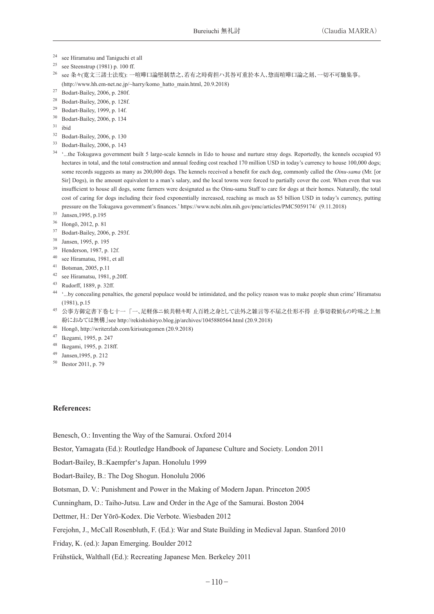- <sup>24</sup> see Hiramatsu and Taniguchi et all
- <sup>25</sup> see Steenstrup (1981) p. 100 ff.
- <sup>26</sup> see 条々(寛文三諸士法度): 一喧嘩口論堅制禁之、若有之時荷担ハ其咎可重於本人、惣而喧嘩口論之刻、一切不可馳集事。 (http://www.hh.em-net.ne.jp/~harry/komo\_hatto\_main.html, 20.9.2018)
- <sup>27</sup> Bodart-Bailey, 2006, p. 280f.
- <sup>28</sup> Bodart-Bailey, 2006, p. 128f.
- <sup>29</sup> Bodart-Bailey, 1999, p. 14f.
- <sup>30</sup> Bodart-Bailey, 2006, p. 134
- $31$  ibid
- <sup>32</sup> Bodart-Bailey, 2006, p. 130
- <sup>33</sup> Bodart-Bailey, 2006, p. 143
- <sup>34</sup> ...the Tokugawa government built 5 large-scale kennels in Edo to house and nurture stray dogs. Reportedly, the kennels occupied 93 hectares in total, and the total construction and annual feeding cost reached 170 million USD in today's currency to house 100,000 dogs; some records suggests as many as 200,000 dogs. The kennels received a benefit for each dog, commonly called the *Oinu-sama* (Mr. [or Sir] Dogs), in the amount equivalent to a man's salary, and the local towns were forced to partially cover the cost. When even that was insufficient to house all dogs, some farmers were designated as the Oinu-sama Staff to care for dogs at their homes. Naturally, the total cost of caring for dogs including their food exponentially increased, reaching as much as \$5 billion USD in today's currency, putting pressure on the Tokugawa government's finances.' https://www.ncbi.nlm.nih.gov/pmc/articles/PMC5059174/ (9.11.2018)
- <sup>35</sup> Jansen,1995, p.195
- <sup>36</sup> Hongō, 2012, p. 81
- <sup>37</sup> Bodart-Bailey, 2006, p. 293f.
- <sup>38</sup> Jansen, 1995, p. 195
- <sup>39</sup> Henderson, 1987, p. 12f.
- <sup>40</sup> see Hiramatsu, 1981, et all
- <sup>41</sup> Botsman, 2005, p.11
- <sup>42</sup> see Hiramatsu, 1981, p.20ff.
- <sup>43</sup> Rudorff, 1889, p. 32ff.
- <sup>44</sup> '...by concealing penalties, the general populace would be intimidated, and the policy reason was to make people shun crime' Hiramatsu (1981), p.15
- <sup>45</sup> 公事方御定書下巻七十一「一、足軽体ニ候共軽キ町人百姓之身として法外之雑言等不届之仕形不得 止事切殺候もの吟味之上無 紛におゐては無構」see http://rekishishiryo.blog.jp/archives/1045880564.html (20.9.2018)
- <sup>46</sup> Hongō, http://writerzlab.com/kirisutegomen (20.9.2018)
- <sup>47</sup> Ikegami, 1995, p. 247
- <sup>48</sup> Ikegami, 1995, p. 218ff.
- <sup>49</sup> Jansen,1995, p. 212
- <sup>50</sup> Bestor 2011, p. 79

## **References:**

Benesch, O.: Inventing the Way of the Samurai. Oxford 2014

Bestor, Yamagata (Ed.): Routledge Handbook of Japanese Culture and Society. London 2011

Bodart-Bailey, B.:Kaempfer's Japan. Honolulu 1999

Bodart-Bailey, B.: The Dog Shogun. Honolulu 2006

Botsman, D. V.: Punishment and Power in the Making of Modern Japan. Princeton 2005

Cunningham, D.: Taiho-Jutsu. Law and Order in the Age of the Samurai. Boston 2004

Dettmer, H.: Der Yōrō-Kodex. Die Verbote. Wiesbaden 2012

Ferejohn, J., McCall Rosenbluth, F. (Ed.): War and State Building in Medieval Japan. Stanford 2010

Friday, K. (ed.): Japan Emerging. Boulder 2012

Frühstück, Walthall (Ed.): Recreating Japanese Men. Berkeley 2011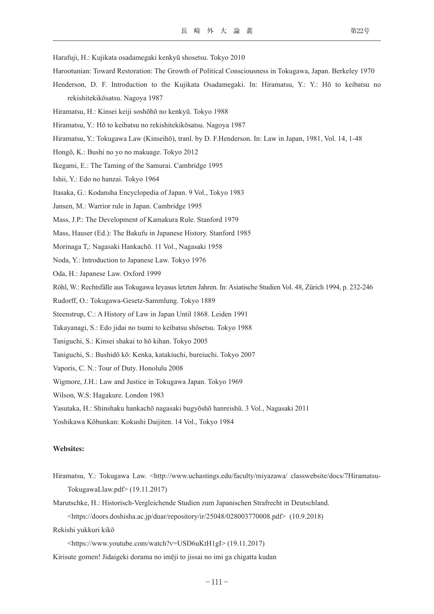- Harafuji, H.: Kujikata osadamegaki kenkyū shosetsu. Tokyo 2010
- Harootunian: Toward Restoration: The Growth of Political Consciousness in Tokugawa, Japan. Berkeley 1970
- Henderson, D. F. Introduction to the Kujikata Osadamegaki. In: Hiramatsu, Y.: Y.: Hō to keibatsu no rekishitekikōsatsu. Nagoya 1987
- Hiramatsu, H.: Kinsei keiji soshōhō no kenkyū. Tokyo 1988
- Hiramatsu, Y.: Hō to keibatsu no rekishitekikōsatsu. Nagoya 1987
- Hiramatsu, Y.: Tokugawa Law (Kinseihō), tranl. by D. F.Henderson. In: Law in Japan, 1981, Vol. 14, 1-48
- Hongō, K.: Bushi no yo no makuage. Tokyo 2012
- Ikegami, E.: The Taming of the Samurai. Cambridge 1995
- Ishii, Y.: Edo no hanzai. Tokyo 1964
- Itasaka, G.: Kodansha Encyclopedia of Japan. 9 Vol., Tokyo 1983
- Jansen, M.: Warrior rule in Japan. Cambridge 1995
- Mass, J.P.: The Development of Kamakura Rule. Stanford 1979
- Mass, Hauser (Ed.): The Bakufu in Japanese History. Stanford 1985
- Morinaga T,: Nagasaki Hankachō. 11 Vol., Nagasaki 1958
- Noda, Y.: Introduction to Japanese Law. Tokyo 1976
- Oda, H.: Japanese Law. Oxford 1999
- Röhl, W.: Rechtsfälle aus Tokugawa Ieyasus letzten Jahren. In: Asiatische Studien Vol. 48, Zürich 1994, p. 232-246
- Rudorff, O.: Tokugawa-Gesetz-Sammlung. Tokyo 1889
- Steenstrup, C.: A History of Law in Japan Until 1868. Leiden 1991
- Takayanagi, S.: Edo jidai no tsumi to keibatsu shōsetsu. Tokyo 1988
- Taniguchi, S.: Kinsei shakai to hō kihan. Tokyo 2005
- Taniguchi, S.: Bushidō kō: Kenka, katakiuchi, bureiuchi. Tokyo 2007
- Vaporis, C. N.: Tour of Duty. Honolulu 2008
- Wigmore, J.H.: Law and Justice in Tokugawa Japan. Tokyo 1969
- Wilson, W.S: Hagakure. London 1983
- Yasutaka, H.: Shinshaku hankachō nagasaki bugyōshō hanreishū. 3 Vol., Nagasaki 2011
- Yoshikawa Kōbunkan: Kokushi Daijiten. 14 Vol., Tokyo 1984

#### **Websites:**

- Hiramatsu, Y.: Tokugawa Law. <http://www.uchastings.edu/faculty/miyazawa/ classwebsite/docs/7Hiramatsu-TokugawaLlaw.pdf> (19.11.2017)
- Marutschke, H.: Historisch-Vergleichende Studien zum Japanischen Strafrecht in Deutschland.

<https://doors.doshisha.ac.jp/duar/repository/ir/25048/028003770008.pdf> (10.9.2018)

- Rekishi yukkuri kikō
	- <https://www.youtube.com/watch?v=USD6uKtH1gI> (19.11.2017)
- Kirisute gomen! Jidaigeki dorama no imēji to jissai no imi ga chigatta kudan